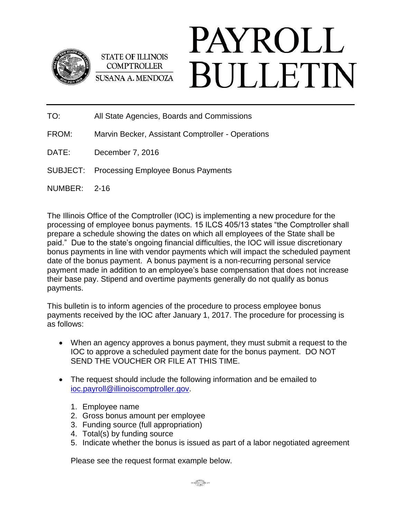

**STATE OF ILLINOIS COMPTROLLER** SUSANA A. MENDOZA

## PAYROLL **BULLETIN**

TO: All State Agencies, Boards and Commissions

- FROM: Marvin Becker, Assistant Comptroller Operations
- DATE: December 7, 2016
- SUBJECT: Processing Employee Bonus Payments
- NUMBER: 2-16

The Illinois Office of the Comptroller (IOC) is implementing a new procedure for the processing of employee bonus payments. 15 ILCS 405/13 states "the Comptroller shall prepare a schedule showing the dates on which all employees of the State shall be paid." Due to the state's ongoing financial difficulties, the IOC will issue discretionary bonus payments in line with vendor payments which will impact the scheduled payment date of the bonus payment. A bonus payment is a non-recurring personal service payment made in addition to an employee's base compensation that does not increase their base pay. Stipend and overtime payments generally do not qualify as bonus payments.

This bulletin is to inform agencies of the procedure to process employee bonus payments received by the IOC after January 1, 2017. The procedure for processing is as follows:

- When an agency approves a bonus payment, they must submit a request to the IOC to approve a scheduled payment date for the bonus payment. DO NOT SEND THE VOUCHER OR FILE AT THIS TIME.
- The request should include the following information and be emailed to [ioc.payroll@illinoiscomptroller.gov.](mailto:ioc.payroll@illinoiscomptroller.gov)
	- 1. Employee name
	- 2. Gross bonus amount per employee
	- 3. Funding source (full appropriation)
	- 4. Total(s) by funding source
	- 5. Indicate whether the bonus is issued as part of a labor negotiated agreement

Please see the request format example below.